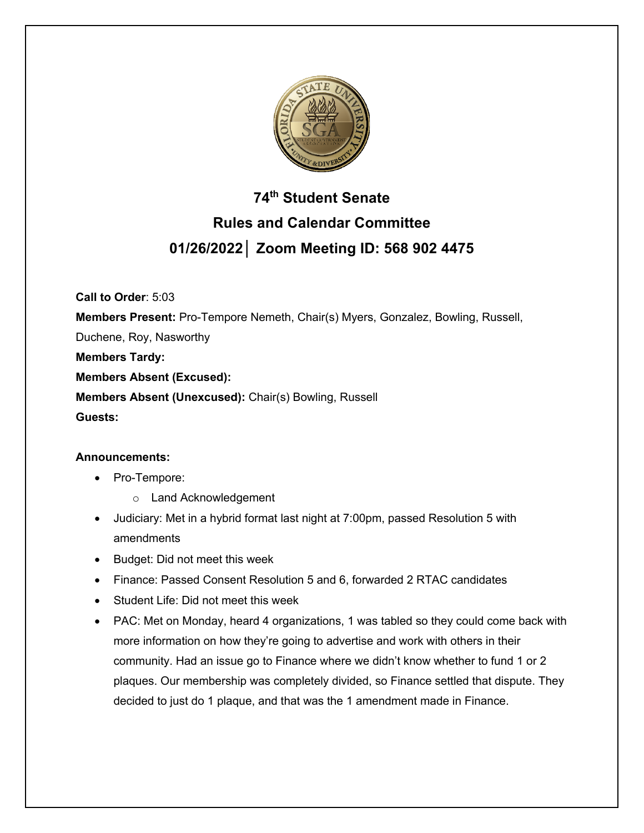

# **74th Student Senate Rules and Calendar Committee 01/26/2022│ Zoom Meeting ID: 568 902 4475**

**Call to Order**: 5:03

**Members Present:** Pro-Tempore Nemeth, Chair(s) Myers, Gonzalez, Bowling, Russell,

Duchene, Roy, Nasworthy

**Members Tardy:**

**Members Absent (Excused):** 

**Members Absent (Unexcused):** Chair(s) Bowling, Russell

**Guests:** 

## **Announcements:**

- Pro-Tempore:
	- o Land Acknowledgement
- Judiciary: Met in a hybrid format last night at 7:00pm, passed Resolution 5 with amendments
- Budget: Did not meet this week
- Finance: Passed Consent Resolution 5 and 6, forwarded 2 RTAC candidates
- Student Life: Did not meet this week
- PAC: Met on Monday, heard 4 organizations, 1 was tabled so they could come back with more information on how they're going to advertise and work with others in their community. Had an issue go to Finance where we didn't know whether to fund 1 or 2 plaques. Our membership was completely divided, so Finance settled that dispute. They decided to just do 1 plaque, and that was the 1 amendment made in Finance.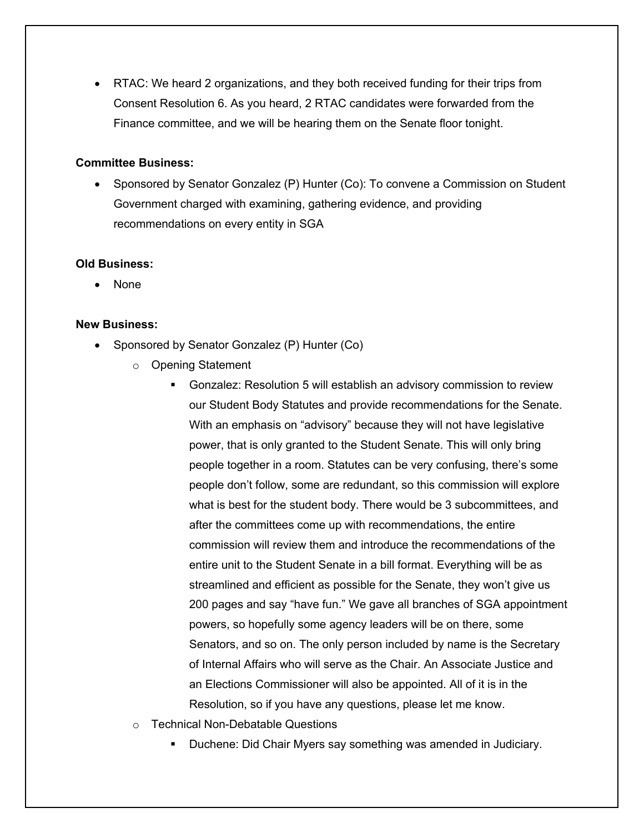• RTAC: We heard 2 organizations, and they both received funding for their trips from Consent Resolution 6. As you heard, 2 RTAC candidates were forwarded from the Finance committee, and we will be hearing them on the Senate floor tonight.

#### **Committee Business:**

• Sponsored by Senator Gonzalez (P) Hunter (Co): To convene a Commission on Student Government charged with examining, gathering evidence, and providing recommendations on every entity in SGA

#### **Old Business:**

• None

#### **New Business:**

- Sponsored by Senator Gonzalez (P) Hunter (Co)
	- o Opening Statement
		- § Gonzalez: Resolution 5 will establish an advisory commission to review our Student Body Statutes and provide recommendations for the Senate. With an emphasis on "advisory" because they will not have legislative power, that is only granted to the Student Senate. This will only bring people together in a room. Statutes can be very confusing, there's some people don't follow, some are redundant, so this commission will explore what is best for the student body. There would be 3 subcommittees, and after the committees come up with recommendations, the entire commission will review them and introduce the recommendations of the entire unit to the Student Senate in a bill format. Everything will be as streamlined and efficient as possible for the Senate, they won't give us 200 pages and say "have fun." We gave all branches of SGA appointment powers, so hopefully some agency leaders will be on there, some Senators, and so on. The only person included by name is the Secretary of Internal Affairs who will serve as the Chair. An Associate Justice and an Elections Commissioner will also be appointed. All of it is in the Resolution, so if you have any questions, please let me know.
	- o Technical Non-Debatable Questions
		- § Duchene: Did Chair Myers say something was amended in Judiciary.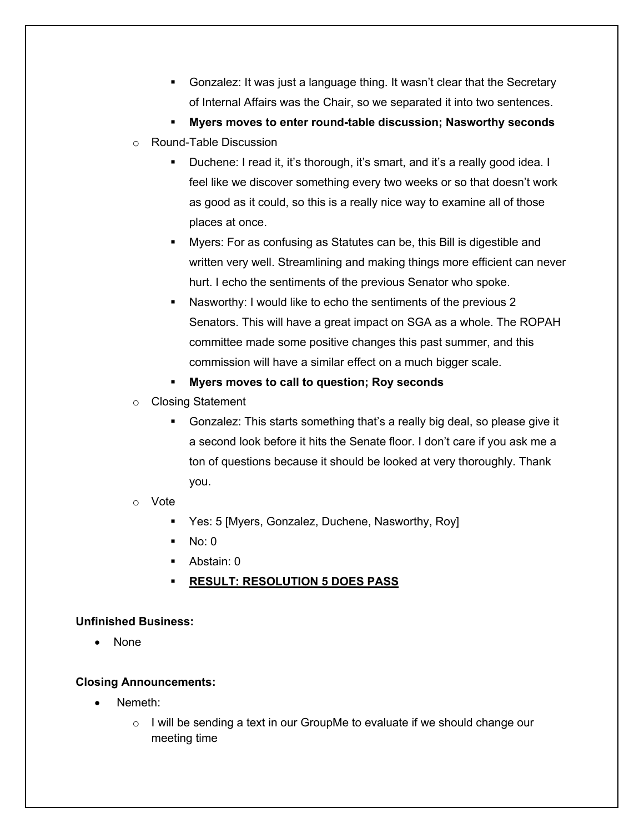- § Gonzalez: It was just a language thing. It wasn't clear that the Secretary of Internal Affairs was the Chair, so we separated it into two sentences.
- § **Myers moves to enter round-table discussion; Nasworthy seconds**
- o Round-Table Discussion
	- Duchene: I read it, it's thorough, it's smart, and it's a really good idea. I feel like we discover something every two weeks or so that doesn't work as good as it could, so this is a really nice way to examine all of those places at once.
	- § Myers: For as confusing as Statutes can be, this Bill is digestible and written very well. Streamlining and making things more efficient can never hurt. I echo the sentiments of the previous Senator who spoke.
	- § Nasworthy: I would like to echo the sentiments of the previous 2 Senators. This will have a great impact on SGA as a whole. The ROPAH committee made some positive changes this past summer, and this commission will have a similar effect on a much bigger scale.
	- § **Myers moves to call to question; Roy seconds**
- o Closing Statement
	- § Gonzalez: This starts something that's a really big deal, so please give it a second look before it hits the Senate floor. I don't care if you ask me a ton of questions because it should be looked at very thoroughly. Thank you.
- o Vote
	- Yes: 5 [Myers, Gonzalez, Duchene, Nasworthy, Roy]
	- § No: 0
	- § Abstain: 0
	- § **RESULT: RESOLUTION 5 DOES PASS**

## **Unfinished Business:**

• None

## **Closing Announcements:**

- Nemeth:
	- o I will be sending a text in our GroupMe to evaluate if we should change our meeting time